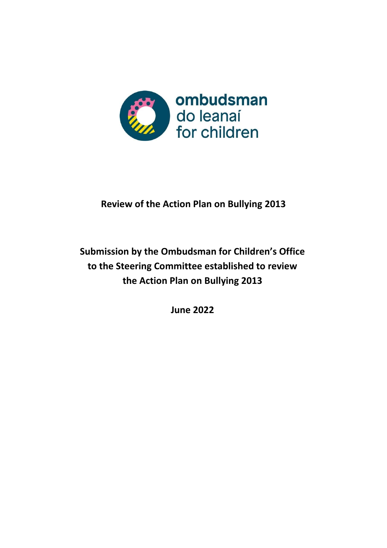

## **Review of the Action Plan on Bullying 2013**

# **Submission by the Ombudsman for Children's Office to the Steering Committee established to review the Action Plan on Bullying 2013**

**June 2022**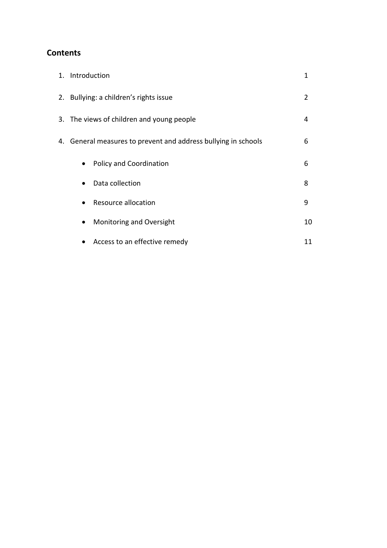## **Contents**

| 1. Introduction                                                | 1  |
|----------------------------------------------------------------|----|
| 2. Bullying: a children's rights issue                         | 2  |
| 3. The views of children and young people                      | 4  |
| 4. General measures to prevent and address bullying in schools | 6  |
| <b>Policy and Coordination</b><br>$\bullet$                    | 6  |
| Data collection<br>$\bullet$                                   | 8  |
| Resource allocation<br>$\bullet$                               | 9  |
| Monitoring and Oversight<br>$\bullet$                          | 10 |
| Access to an effective remedy<br>$\bullet$                     | 11 |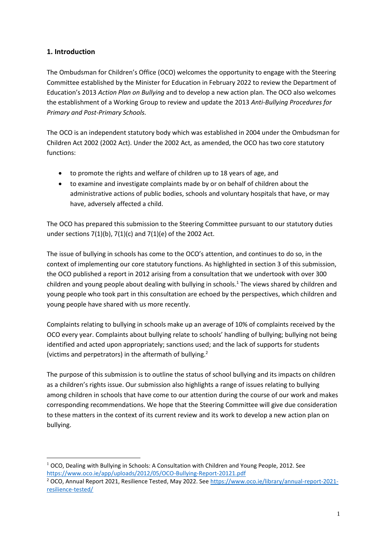## **1. Introduction**

The Ombudsman for Children's Office (OCO) welcomes the opportunity to engage with the Steering Committee established by the Minister for Education in February 2022 to review the Department of Education's 2013 *Action Plan on Bullying* and to develop a new action plan. The OCO also welcomes the establishment of a Working Group to review and update the 2013 *Anti-Bullying Procedures for Primary and Post-Primary Schools.*

The OCO is an independent statutory body which was established in 2004 under the Ombudsman for Children Act 2002 (2002 Act). Under the 2002 Act, as amended, the OCO has two core statutory functions:

- to promote the rights and welfare of children up to 18 years of age, and
- to examine and investigate complaints made by or on behalf of children about the administrative actions of public bodies, schools and voluntary hospitals that have, or may have, adversely affected a child.

The OCO has prepared this submission to the Steering Committee pursuant to our statutory duties under sections 7(1)(b), 7(1)(c) and 7(1)(e) of the 2002 Act.

The issue of bullying in schools has come to the OCO's attention, and continues to do so, in the context of implementing our core statutory functions. As highlighted in section 3 of this submission, the OCO published a report in 2012 arising from a consultation that we undertook with over 300 children and young people about dealing with bullying in schools.<sup>1</sup> The views shared by children and young people who took part in this consultation are echoed by the perspectives, which children and young people have shared with us more recently.

Complaints relating to bullying in schools make up an average of 10% of complaints received by the OCO every year. Complaints about bullying relate to schools' handling of bullying; bullying not being identified and acted upon appropriately; sanctions used; and the lack of supports for students (victims and perpetrators) in the aftermath of bullying.<sup>2</sup>

The purpose of this submission is to outline the status of school bullying and its impacts on children as a children's rights issue. Our submission also highlights a range of issues relating to bullying among children in schools that have come to our attention during the course of our work and makes corresponding recommendations. We hope that the Steering Committee will give due consideration to these matters in the context of its current review and its work to develop a new action plan on bullying.

**<sup>.</sup>**  $1$  OCO, Dealing with Bullying in Schools: A Consultation with Children and Young People, 2012. See <https://www.oco.ie/app/uploads/2012/05/OCO-Bullying-Report-20121.pdf>

<sup>&</sup>lt;sup>2</sup> OCO, Annual Report 2021, Resilience Tested, May 2022. See [https://www.oco.ie/library/annual-report-2021](https://www.oco.ie/library/annual-report-2021-resilience-tested/) [resilience-tested/](https://www.oco.ie/library/annual-report-2021-resilience-tested/)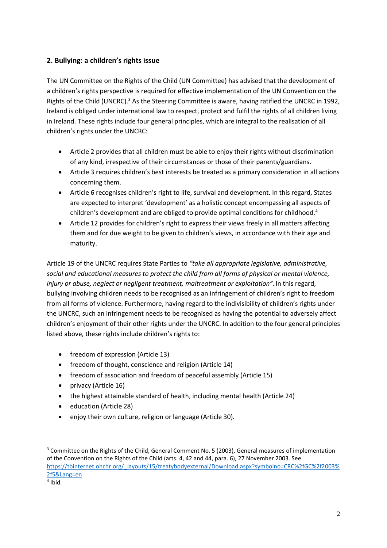## **2. Bullying: a children's rights issue**

The UN Committee on the Rights of the Child (UN Committee) has advised that the development of a children's rights perspective is required for effective implementation of the UN Convention on the Rights of the Child (UNCRC).<sup>3</sup> As the Steering Committee is aware, having ratified the UNCRC in 1992, Ireland is obliged under international law to respect, protect and fulfil the rights of all children living in Ireland. These rights include four general principles, which are integral to the realisation of all children's rights under the UNCRC:

- Article 2 provides that all children must be able to enjoy their rights without discrimination of any kind, irrespective of their circumstances or those of their parents/guardians.
- Article 3 requires children's best interests be treated as a primary consideration in all actions concerning them.
- Article 6 recognises children's right to life, survival and development. In this regard, States are expected to interpret 'development' as a holistic concept encompassing all aspects of children's development and are obliged to provide optimal conditions for childhood.<sup>4</sup>
- Article 12 provides for children's right to express their views freely in all matters affecting them and for due weight to be given to children's views, in accordance with their age and maturity.

Article 19 of the UNCRC requires State Parties to *"take all appropriate legislative, administrative, social and educational measures to protect the child from all forms of physical or mental violence, injury or abuse, neglect or negligent treatment, maltreatment or exploitation"*. In this regard, bullying involving children needs to be recognised as an infringement of children's right to freedom from all forms of violence. Furthermore, having regard to the indivisibility of children's rights under the UNCRC, such an infringement needs to be recognised as having the potential to adversely affect children's enjoyment of their other rights under the UNCRC. In addition to the four general principles listed above, these rights include children's rights to:

- freedom of expression (Article 13)
- freedom of thought, conscience and religion (Article 14)
- freedom of association and freedom of peaceful assembly (Article 15)
- privacy (Article 16)
- the highest attainable standard of health, including mental health (Article 24)
- education (Article 28)
- enjoy their own culture, religion or language (Article 30).

<sup>&</sup>lt;sup>3</sup> Committee on the Rights of the Child, General Comment No. 5 (2003), General measures of implementation of the Convention on the Rights of the Child (arts. 4, 42 and 44, para. 6), 27 November 2003. See [https://tbinternet.ohchr.org/\\_layouts/15/treatybodyexternal/Download.aspx?symbolno=CRC%2fGC%2f2003%](https://tbinternet.ohchr.org/_layouts/15/treatybodyexternal/Download.aspx?symbolno=CRC%2fGC%2f2003%2f5&Lang=en) [2f5&Lang=en](https://tbinternet.ohchr.org/_layouts/15/treatybodyexternal/Download.aspx?symbolno=CRC%2fGC%2f2003%2f5&Lang=en)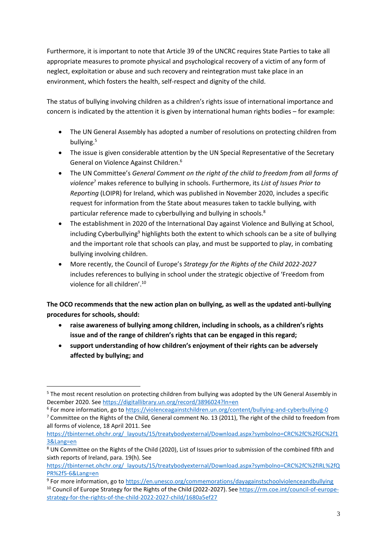Furthermore, it is important to note that Article 39 of the UNCRC requires State Parties to take all appropriate measures to promote physical and psychological recovery of a victim of any form of neglect, exploitation or abuse and such recovery and reintegration must take place in an environment, which fosters the health, self-respect and dignity of the child.

The status of bullying involving children as a children's rights issue of international importance and concern is indicated by the attention it is given by international human rights bodies – for example:

- The UN General Assembly has adopted a number of resolutions on protecting children from bullying.<sup>5</sup>
- The issue is given considerable attention by the UN Special Representative of the Secretary General on Violence Against Children.<sup>6</sup>
- The UN Committee's *General Comment on the right of the child to freedom from all forms of violence*<sup>7</sup> makes reference to bullying in schools. Furthermore, its *List of Issues Prior to Reporting* (LOIPR) for Ireland, which was published in November 2020, includes a specific request for information from the State about measures taken to tackle bullying, with particular reference made to cyberbullying and bullying in schools.<sup>8</sup>
- The establishment in 2020 of the International Day against Violence and Bullying at School, including Cyberbullying<sup>9</sup> highlights both the extent to which schools can be a site of bullying and the important role that schools can play, and must be supported to play, in combating bullying involving children.
- More recently, the Council of Europe's *Strategy for the Rights of the Child 2022-2027* includes references to bullying in school under the strategic objective of 'Freedom from violence for all children'.<sup>10</sup>

**The OCO recommends that the new action plan on bullying, as well as the updated anti-bullying procedures for schools, should:**

- **raise awareness of bullying among children, including in schools, as a children's rights issue and of the range of children's rights that can be engaged in this regard;**
- **support understanding of how children's enjoyment of their rights can be adversely affected by bullying; and**

**<sup>.</sup>** <sup>5</sup> The most recent resolution on protecting children from bullying was adopted by the UN General Assembly in December 2020. See<https://digitallibrary.un.org/record/3896024?ln=en>

<sup>&</sup>lt;sup>6</sup> For more information, go to<https://violenceagainstchildren.un.org/content/bullying-and-cyberbullying-0>

<sup>&</sup>lt;sup>7</sup> Committee on the Rights of the Child, General comment No. 13 (2011), The right of the child to freedom from all forms of violence, 18 April 2011. See

[https://tbinternet.ohchr.org/\\_layouts/15/treatybodyexternal/Download.aspx?symbolno=CRC%2fC%2fGC%2f1](https://tbinternet.ohchr.org/_layouts/15/treatybodyexternal/Download.aspx?symbolno=CRC%2fC%2fGC%2f13&Lang=en) [3&Lang=en](https://tbinternet.ohchr.org/_layouts/15/treatybodyexternal/Download.aspx?symbolno=CRC%2fC%2fGC%2f13&Lang=en)

<sup>8</sup> UN Committee on the Rights of the Child (2020), List of Issues prior to submission of the combined fifth and sixth reports of Ireland, para. 19(h). See

[https://tbinternet.ohchr.org/\\_layouts/15/treatybodyexternal/Download.aspx?symbolno=CRC%2fC%2fIRL%2fQ](https://tbinternet.ohchr.org/_layouts/15/treatybodyexternal/Download.aspx?symbolno=CRC%2fC%2fIRL%2fQPR%2f5-6&Lang=en) [PR%2f5-6&Lang=en](https://tbinternet.ohchr.org/_layouts/15/treatybodyexternal/Download.aspx?symbolno=CRC%2fC%2fIRL%2fQPR%2f5-6&Lang=en)

<sup>&</sup>lt;sup>9</sup> For more information, go to<https://en.unesco.org/commemorations/dayagainstschoolviolenceandbullying> <sup>10</sup> Council of Europe Strategy for the Rights of the Child (2022-2027). Se[e https://rm.coe.int/council-of-europe-](https://rm.coe.int/council-of-europe-strategy-for-the-rights-of-the-child-2022-2027-child/1680a5ef27)

[strategy-for-the-rights-of-the-child-2022-2027-child/1680a5ef27](https://rm.coe.int/council-of-europe-strategy-for-the-rights-of-the-child-2022-2027-child/1680a5ef27)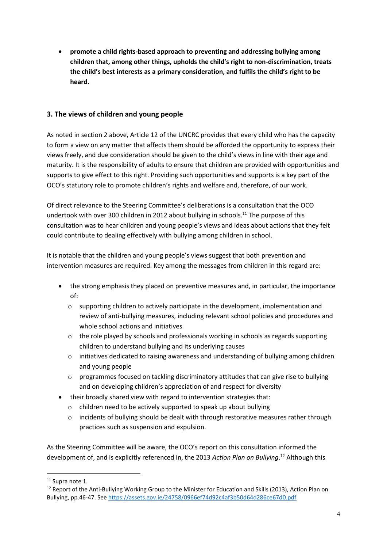**promote a child rights-based approach to preventing and addressing bullying among children that, among other things, upholds the child's right to non-discrimination, treats the child's best interests as a primary consideration, and fulfils the child's right to be heard.**

## **3. The views of children and young people**

As noted in section 2 above, Article 12 of the UNCRC provides that every child who has the capacity to form a view on any matter that affects them should be afforded the opportunity to express their views freely, and due consideration should be given to the child's views in line with their age and maturity. It is the responsibility of adults to ensure that children are provided with opportunities and supports to give effect to this right. Providing such opportunities and supports is a key part of the OCO's statutory role to promote children's rights and welfare and, therefore, of our work.

Of direct relevance to the Steering Committee's deliberations is a consultation that the OCO undertook with over 300 children in 2012 about bullying in schools.<sup>11</sup> The purpose of this consultation was to hear children and young people's views and ideas about actions that they felt could contribute to dealing effectively with bullying among children in school.

It is notable that the children and young people's views suggest that both prevention and intervention measures are required. Key among the messages from children in this regard are:

- the strong emphasis they placed on preventive measures and, in particular, the importance of:
	- $\circ$  supporting children to actively participate in the development, implementation and review of anti-bullying measures, including relevant school policies and procedures and whole school actions and initiatives
	- o the role played by schools and professionals working in schools as regards supporting children to understand bullying and its underlying causes
	- o initiatives dedicated to raising awareness and understanding of bullying among children and young people
	- $\circ$  programmes focused on tackling discriminatory attitudes that can give rise to bullying and on developing children's appreciation of and respect for diversity
- their broadly shared view with regard to intervention strategies that:
	- o children need to be actively supported to speak up about bullying
	- $\circ$  incidents of bullying should be dealt with through restorative measures rather through practices such as suspension and expulsion.

As the Steering Committee will be aware, the OCO's report on this consultation informed the development of, and is explicitly referenced in, the 2013 *Action Plan on Bullying*. <sup>12</sup> Although this

<sup>&</sup>lt;sup>11</sup> Supra note 1.

<sup>&</sup>lt;sup>12</sup> Report of the Anti-Bullying Working Group to the Minister for Education and Skills (2013), Action Plan on Bullying, pp.46-47. See<https://assets.gov.ie/24758/0966ef74d92c4af3b50d64d286ce67d0.pdf>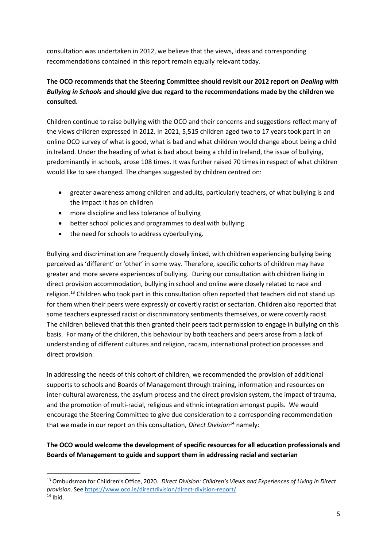consultation was undertaken in 2012, we believe that the views, ideas and corresponding recommendations contained in this report remain equally relevant today.

## **The OCO recommends that the Steering Committee should revisit our 2012 report on** *Dealing with Bullying in Schools* **and should give due regard to the recommendations made by the children we consulted.**

Children continue to raise bullying with the OCO and their concerns and suggestions reflect many of the views children expressed in 2012. In 2021, 5,515 children aged two to 17 years took part in an online OCO survey of what is good, what is bad and what children would change about being a child in Ireland. Under the heading of what is bad about being a child in Ireland, the issue of bullying, predominantly in schools, arose 108 times. It was further raised 70 times in respect of what children would like to see changed. The changes suggested by children centred on:

- greater awareness among children and adults, particularly teachers, of what bullying is and the impact it has on children
- more discipline and less tolerance of bullying
- better school policies and programmes to deal with bullying
- the need for schools to address cyberbullying.

**.** 

Bullying and discrimination are frequently closely linked, with children experiencing bullying being perceived as 'different' or 'other' in some way. Therefore, specific cohorts of children may have greater and more severe experiences of bullying. During our consultation with children living in direct provision accommodation, bullying in school and online were closely related to race and religion.<sup>13</sup> Children who took part in this consultation often reported that teachers did not stand up for them when their peers were expressly or covertly racist or sectarian. Children also reported that some teachers expressed racist or discriminatory sentiments themselves, or were covertly racist. The children believed that this then granted their peers tacit permission to engage in bullying on this basis. For many of the children, this behaviour by both teachers and peers arose from a lack of understanding of different cultures and religion, racism, international protection processes and direct provision.

In addressing the needs of this cohort of children, we recommended the provision of additional supports to schools and Boards of Management through training, information and resources on inter-cultural awareness, the asylum process and the direct provision system, the impact of trauma, and the promotion of multi-racial, religious and ethnic integration amongst pupils.We would encourage the Steering Committee to give due consideration to a corresponding recommendation that we made in our report on this consultation, *Direct Division*<sup>14</sup> namely:

**The OCO would welcome the development of specific resources for all education professionals and Boards of Management to guide and support them in addressing racial and sectarian** 

<sup>13</sup> Ombudsman for Children's Office, 2020. *Direct Division: Children's Views and Experiences of Living in Direct provision*. Se[e https://www.oco.ie/directdivision/direct-division-report/](https://www.oco.ie/directdivision/direct-division-report/)  $14$  Ibid.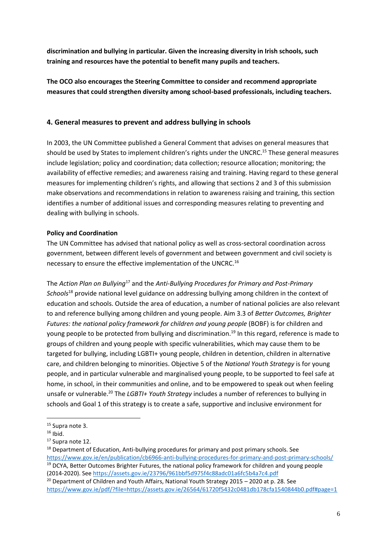**discrimination and bullying in particular. Given the increasing diversity in Irish schools, such training and resources have the potential to benefit many pupils and teachers.**

**The OCO also encourages the Steering Committee to consider and recommend appropriate measures that could strengthen diversity among school-based professionals, including teachers.**

#### **4. General measures to prevent and address bullying in schools**

In 2003, the UN Committee published a General Comment that advises on general measures that should be used by States to implement children's rights under the UNCRC.<sup>15</sup> These general measures include legislation; policy and coordination; data collection; resource allocation; monitoring; the availability of effective remedies; and awareness raising and training. Having regard to these general measures for implementing children's rights, and allowing that sections 2 and 3 of this submission make observations and recommendations in relation to awareness raising and training, this section identifies a number of additional issues and corresponding measures relating to preventing and dealing with bullying in schools.

#### **Policy and Coordination**

The UN Committee has advised that national policy as well as cross-sectoral coordination across government, between different levels of government and between government and civil society is necessary to ensure the effective implementation of the UNCRC.<sup>16</sup>

The *Action Plan on Bullying*<sup>17</sup> and the *Anti-Bullying Procedures for Primary and Post-Primary Schools*<sup>18</sup> provide national level guidance on addressing bullying among children in the context of education and schools. Outside the area of education, a number of national policies are also relevant to and reference bullying among children and young people. Aim 3.3 of *Better Outcomes, Brighter Futures: the national policy framework for children and young people* (BOBF) is for children and young people to be protected from bullying and discrimination.<sup>19</sup> In this regard, reference is made to groups of children and young people with specific vulnerabilities, which may cause them to be targeted for bullying, including LGBTI+ young people, children in detention, children in alternative care, and children belonging to minorities. Objective 5 of the *National Youth Strategy* is for young people, and in particular vulnerable and marginalised young people, to be supported to feel safe at home, in school, in their communities and online, and to be empowered to speak out when feeling unsafe or vulnerable.<sup>20</sup> The *LGBTI+ Youth Strategy* includes a number of references to bullying in schools and Goal 1 of this strategy is to create a safe, supportive and inclusive environment for

1

<sup>15</sup> Supra note 3.

 $16$  Ihid.

<sup>&</sup>lt;sup>17</sup> Supra note 12.

 $18$  Department of Education, Anti-bullying procedures for primary and post primary schools. See <https://www.gov.ie/en/publication/cb6966-anti-bullying-procedures-for-primary-and-post-primary-schools/>

<sup>&</sup>lt;sup>19</sup> DCYA, Better Outcomes Brighter Futures, the national policy framework for children and young people (2014-2020). See<https://assets.gov.ie/23796/961bbf5d975f4c88adc01a6fc5b4a7c4.pdf>

<sup>&</sup>lt;sup>20</sup> Department of Children and Youth Affairs, National Youth Strategy 2015 – 2020 at p. 28. See <https://www.gov.ie/pdf/?file=https://assets.gov.ie/26564/61720f5432c0481db178cfa1540844b0.pdf#page=1>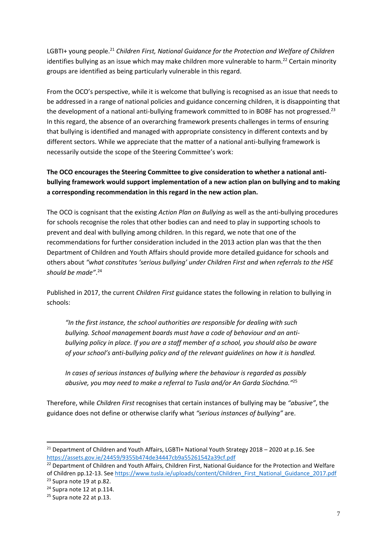LGBTI+ young people.<sup>21</sup> Children First, National Guidance for the Protection and Welfare of Children identifies bullying as an issue which may make children more vulnerable to harm.<sup>22</sup> Certain minority groups are identified as being particularly vulnerable in this regard.

From the OCO's perspective, while it is welcome that bullying is recognised as an issue that needs to be addressed in a range of national policies and guidance concerning children, it is disappointing that the development of a national anti-bullying framework committed to in BOBF has not progressed.<sup>23</sup> In this regard, the absence of an overarching framework presents challenges in terms of ensuring that bullying is identified and managed with appropriate consistency in different contexts and by different sectors. While we appreciate that the matter of a national anti-bullying framework is necessarily outside the scope of the Steering Committee's work:

## **The OCO encourages the Steering Committee to give consideration to whether a national antibullying framework would support implementation of a new action plan on bullying and to making a corresponding recommendation in this regard in the new action plan.**

The OCO is cognisant that the existing *Action Plan on Bullying* as well as the anti-bullying procedures for schools recognise the roles that other bodies can and need to play in supporting schools to prevent and deal with bullying among children. In this regard, we note that one of the recommendations for further consideration included in the 2013 action plan was that the then Department of Children and Youth Affairs should provide more detailed guidance for schools and others about *"what constitutes 'serious bullying' under Children First and when referrals to the HSE should be made"*. 24

Published in 2017, the current *Children First* guidance states the following in relation to bullying in schools:

*"In the first instance, the school authorities are responsible for dealing with such bullying. School management boards must have a code of behaviour and an antibullying policy in place. If you are a staff member of a school, you should also be aware of your school's anti-bullying policy and of the relevant guidelines on how it is handled.* 

*In cases of serious instances of bullying where the behaviour is regarded as possibly abusive, you may need to make a referral to Tusla and/or An Garda Síochána."*<sup>25</sup>

Therefore, while *Children First* recognises that certain instances of bullying may be *"abusive"*, the guidance does not define or otherwise clarify what *"serious instances of bullying"* are.

<sup>22</sup> Department of Children and Youth Affairs, Children First, National Guidance for the Protection and Welfare

<sup>&</sup>lt;sup>21</sup> Department of Children and Youth Affairs, LGBTI+ National Youth Strategy 2018 - 2020 at p.16. See <https://assets.gov.ie/24459/9355b474de34447cb9a55261542a39cf.pdf>

of Children pp.12-13. See [https://www.tusla.ie/uploads/content/Children\\_First\\_National\\_Guidance\\_2017.pdf](https://www.tusla.ie/uploads/content/Children_First_National_Guidance_2017.pdf) <sup>23</sup> Supra note 19 at p.82.

<sup>&</sup>lt;sup>24</sup> Supra note 12 at p.114.

<sup>&</sup>lt;sup>25</sup> Supra note 22 at p.13.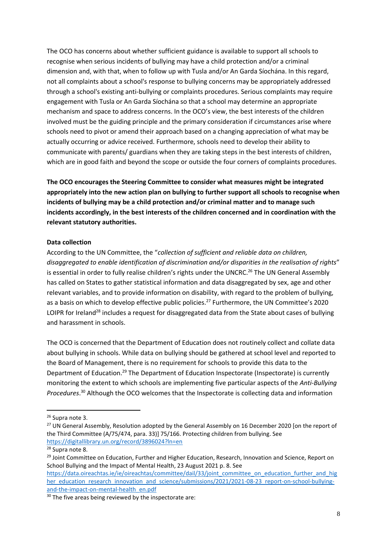The OCO has concerns about whether sufficient guidance is available to support all schools to recognise when serious incidents of bullying may have a child protection and/or a criminal dimension and, with that, when to follow up with Tusla and/or An Garda Síochána. In this regard, not all complaints about a school's response to bullying concerns may be appropriately addressed through a school's existing anti-bullying or complaints procedures. Serious complaints may require engagement with Tusla or An Garda Síochána so that a school may determine an appropriate mechanism and space to address concerns. In the OCO's view, the best interests of the children involved must be the guiding principle and the primary consideration if circumstances arise where schools need to pivot or amend their approach based on a changing appreciation of what may be actually occurring or advice received. Furthermore, schools need to develop their ability to communicate with parents/ guardians when they are taking steps in the best interests of children, which are in good faith and beyond the scope or outside the four corners of complaints procedures.

**The OCO encourages the Steering Committee to consider what measures might be integrated appropriately into the new action plan on bullying to further support all schools to recognise when incidents of bullying may be a child protection and/or criminal matter and to manage such incidents accordingly, in the best interests of the children concerned and in coordination with the relevant statutory authorities.**

#### **Data collection**

According to the UN Committee, the "*collection of sufficient and reliable data on children, disaggregated to enable identification of discrimination and/or disparities in the realisation of rights*" is essential in order to fully realise children's rights under the UNCRC.<sup>26</sup> The UN General Assembly has called on States to gather statistical information and data disaggregated by sex, age and other relevant variables, and to provide information on disability, with regard to the problem of bullying, as a basis on which to develop effective public policies.<sup>27</sup> Furthermore, the UN Committee's 2020 LOIPR for Ireland<sup>28</sup> includes a request for disaggregated data from the State about cases of bullying and harassment in schools.

The OCO is concerned that the Department of Education does not routinely collect and collate data about bullying in schools. While data on bullying should be gathered at school level and reported to the Board of Management, there is no requirement for schools to provide this data to the Department of Education.<sup>29</sup> The Department of Education Inspectorate (Inspectorate) is currently monitoring the extent to which schools are implementing five particular aspects of the *Anti-Bullying Procedures*. <sup>30</sup> Although the OCO welcomes that the Inspectorate is collecting data and information

 $\overline{a}$ 

<sup>26</sup> Supra note 3.

<sup>&</sup>lt;sup>27</sup> UN General Assembly, Resolution adopted by the General Assembly on 16 December 2020 [on the report of the Third Committee (A/75/474, para. 33)] 75/166. Protecting children from bullying. See <https://digitallibrary.un.org/record/3896024?ln=en>

<sup>&</sup>lt;sup>28</sup> Supra note 8.

<sup>&</sup>lt;sup>29</sup> Joint Committee on Education, Further and Higher Education, Research, Innovation and Science, Report on School Bullying and the Impact of Mental Health, 23 August 2021 p. 8. See [https://data.oireachtas.ie/ie/oireachtas/committee/dail/33/joint\\_committee\\_on\\_education\\_further\\_and\\_hig](https://data.oireachtas.ie/ie/oireachtas/committee/dail/33/joint_committee_on_education_further_and_higher_education_research_innovation_and_science/submissions/2021/2021-08-23_report-on-school-bullying-and-the-impact-on-mental-health_en.pdf)

[her\\_education\\_research\\_innovation\\_and\\_science/submissions/2021/2021-08-23\\_report-on-school-bullying](https://data.oireachtas.ie/ie/oireachtas/committee/dail/33/joint_committee_on_education_further_and_higher_education_research_innovation_and_science/submissions/2021/2021-08-23_report-on-school-bullying-and-the-impact-on-mental-health_en.pdf)[and-the-impact-on-mental-health\\_en.pdf](https://data.oireachtas.ie/ie/oireachtas/committee/dail/33/joint_committee_on_education_further_and_higher_education_research_innovation_and_science/submissions/2021/2021-08-23_report-on-school-bullying-and-the-impact-on-mental-health_en.pdf)

<sup>&</sup>lt;sup>30</sup> The five areas being reviewed by the inspectorate are: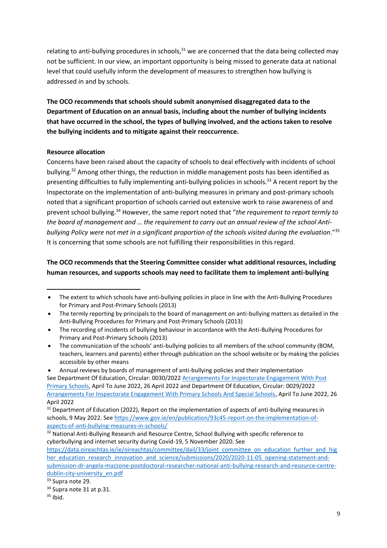relating to anti-bullying procedures in schools, $31$  we are concerned that the data being collected may not be sufficient. In our view, an important opportunity is being missed to generate data at national level that could usefully inform the development of measures to strengthen how bullying is addressed in and by schools.

**The OCO recommends that schools should submit anonymised disaggregated data to the Department of Education on an annual basis, including about the number of bullying incidents that have occurred in the school, the types of bullying involved, and the actions taken to resolve the bullying incidents and to mitigate against their reoccurrence.**

#### **Resource allocation**

Concerns have been raised about the capacity of schools to deal effectively with incidents of school bullying.<sup>32</sup> Among other things, the reduction in middle management posts has been identified as presenting difficulties to fully implementing anti-bullying policies in schools.<sup>33</sup> A recent report by the Inspectorate on th[e implementation of anti-bullying measures in primary and post-primary schools](file:///C:/users/gillc/downloads/223326_cb1d43b8-417a-411e-9b19-12d6f3323a24%20(4).pdf) noted that a significant proportion of schools carried out extensive work to raise awareness of and prevent school bullying.<sup>34</sup> However, the same report noted that "*the requirement to report termly to the board of management and … the requirement to carry out an annual review of the school Antibullying Policy were not met in a significant proportion of the schools visited during the evaluation*."<sup>35</sup> It is concerning that some schools are not fulfilling their responsibilities in this regard.

### **The OCO recommends that the Steering Committee consider what additional resources, including human resources, and supports schools may need to facilitate them to implement anti-bullying**

<sup>32</sup> National Anti-Bullying Research and Resource Centre, School Bullying with specific reference to cyberbullying and internet security during Covid-19, 5 November 2020. See

[https://data.oireachtas.ie/ie/oireachtas/committee/dail/33/joint\\_committee\\_on\\_education\\_further\\_and\\_hig](https://data.oireachtas.ie/ie/oireachtas/committee/dail/33/joint_committee_on_education_further_and_higher_education_research_innovation_and_science/submissions/2020/2020-11-05_opening-statement-and-submission-dr-angela-mazzone-postdoctoral-researcher-national-anti-bullying-research-and-resource-centre-dublin-city-university_en.pdf) [her\\_education\\_research\\_innovation\\_and\\_science/submissions/2020/2020-11-05\\_opening-statement-and](https://data.oireachtas.ie/ie/oireachtas/committee/dail/33/joint_committee_on_education_further_and_higher_education_research_innovation_and_science/submissions/2020/2020-11-05_opening-statement-and-submission-dr-angela-mazzone-postdoctoral-researcher-national-anti-bullying-research-and-resource-centre-dublin-city-university_en.pdf)[submission-dr-angela-mazzone-postdoctoral-researcher-national-anti-bullying-research-and-resource-centre](https://data.oireachtas.ie/ie/oireachtas/committee/dail/33/joint_committee_on_education_further_and_higher_education_research_innovation_and_science/submissions/2020/2020-11-05_opening-statement-and-submission-dr-angela-mazzone-postdoctoral-researcher-national-anti-bullying-research-and-resource-centre-dublin-city-university_en.pdf)[dublin-city-university\\_en.pdf](https://data.oireachtas.ie/ie/oireachtas/committee/dail/33/joint_committee_on_education_further_and_higher_education_research_innovation_and_science/submissions/2020/2020-11-05_opening-statement-and-submission-dr-angela-mazzone-postdoctoral-researcher-national-anti-bullying-research-and-resource-centre-dublin-city-university_en.pdf)

The extent to which schools have anti-bullying policies in place in line with the Anti-Bullying Procedures for Primary and Post-Primary Schools (2013)

<sup>•</sup> The termly reporting by principals to the board of management on anti-bullying matters as detailed in the Anti-Bullying Procedures for Primary and Post-Primary Schools (2013)

The recording of incidents of bullying behaviour in accordance with the Anti-Bullying Procedures for Primary and Post-Primary Schools (2013)

The communication of the schools' anti-bullying policies to all members of the school community (BOM, teachers, learners and parents) either through publication on the school website or by making the policies accessible by other means

Annual reviews by boards of management of anti-bullying policies and their implementation

See Department Of Education, Circular: 0030/202[2 Arrangements For Inspectorate Engagement With Post](file:///C:/users/gillc/downloads/222032_80a224a7-5d68-4983-b64f-25351c755d98.pdf)  [Primary Schools,](file:///C:/users/gillc/downloads/222032_80a224a7-5d68-4983-b64f-25351c755d98.pdf) April To June 2022, 26 April 2022 and Department Of Education, Circular: 0029/2022 [Arrangements For Inspectorate Engagement With Primary Schools And Special Schools,](file:///C:/users/gillc/downloads/222031_a7263080-ef48-4634-8605-52d516c09483%20(2).pdf) April To June 2022, 26 April 2022

<sup>&</sup>lt;sup>31</sup> Department of Education (2022), Report on the implementation of aspects of anti-bullying measures in schools, 9 May 2022. See [https://www.gov.ie/en/publication/93c45-report-on-the-implementation-of](https://www.gov.ie/en/publication/93c45-report-on-the-implementation-of-aspects-of-anti-bullying-measures-in-schools/)[aspects-of-anti-bullying-measures-in-schools/](https://www.gov.ie/en/publication/93c45-report-on-the-implementation-of-aspects-of-anti-bullying-measures-in-schools/)

<sup>33</sup> Supra note 29.

<sup>&</sup>lt;sup>34</sup> Supra note 31 at p.31.

 $35$  Ibid.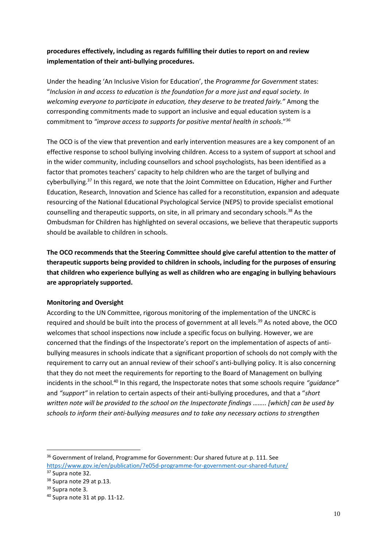## **procedures effectively, including as regards fulfilling their duties to report on and review implementation of their anti-bullying procedures.**

Under the heading 'An Inclusive Vision for Education', the *Programme for Government* states: "*Inclusion in and access to education is the foundation for a more just and equal society. In welcoming everyone to participate in education, they deserve to be treated fairly."* Among the corresponding commitments made to support an inclusive and equal education system is a commitment to *"improve access to supports for positive mental health in schools*."<sup>36</sup>

The OCO is of the view that prevention and early intervention measures are a key component of an effective response to school bullying involving children. Access to a system of support at school and in the wider community, including counsellors and school psychologists, has been identified as a factor that promotes teachers' capacity to help children who are the target of bullying and cyberbullying.<sup>37</sup> In this regard, we note that the Joint Committee on Education, Higher and Further Education, Research, Innovation and Science has called for a reconstitution, expansion and adequate resourcing of the National Educational Psychological Service (NEPS) to provide specialist emotional counselling and therapeutic supports, on site, in all primary and secondary schools.<sup>38</sup> As the Ombudsman for Children has highlighted on several occasions, we believe that therapeutic supports should be available to children in schools.

**The OCO recommends that the Steering Committee should give careful attention to the matter of therapeutic supports being provided to children in schools, including for the purposes of ensuring that children who experience bullying as well as children who are engaging in bullying behaviours are appropriately supported.**

#### **Monitoring and Oversight**

According to the UN Committee, rigorous monitoring of the implementation of the UNCRC is required and should be built into the process of government at all levels.<sup>39</sup> As noted above, the OCO welcomes that school inspections now include a specific focus on bullying. However, we are concerned that the findings of the Inspectorate's report on the implementation of aspects of antibullying measures in schools indicate that a significant proportion of schools do not comply with the requirement to carry out an annual review of their school's anti-bullying policy. It is also concerning that they do not meet the requirements for reporting to the Board of Management on bullying incidents in the school.<sup>40</sup> In this regard, the Inspectorate notes that some schools require *"guidance"* and *"support"* in relation to certain aspects of their anti-bullying procedures, and that a "*short written note will be provided to the school on the Inspectorate findings …….. [which] can be used by schools to inform their anti-bullying measures and to take any necessary actions to strengthen* 

<sup>&</sup>lt;sup>36</sup> Government of Ireland, Programme for Government: Our shared future at p. 111. See <https://www.gov.ie/en/publication/7e05d-programme-for-government-our-shared-future/>

<sup>&</sup>lt;sup>37</sup> Supra note 32.

<sup>&</sup>lt;sup>38</sup> Supra note 29 at p.13.

<sup>39</sup> Supra note 3.

<sup>40</sup> Supra note 31 at pp. 11-12.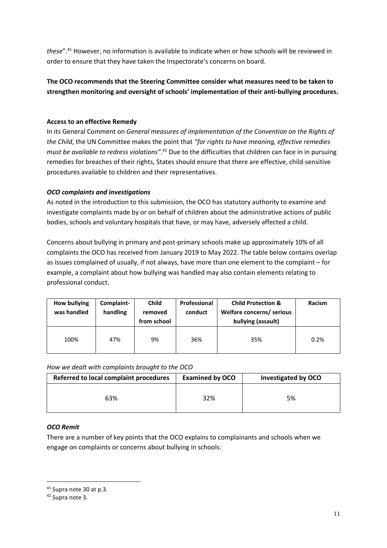*these*".<sup>41</sup> However, no information is available to indicate when or how schools will be reviewed in order to ensure that they have taken the Inspectorate's concerns on board.

## **The OCO recommends that the Steering Committee consider what measures need to be taken to strengthen monitoring and oversight of schools' implementation of their anti-bullying procedures.**

#### **Access to an effective Remedy**

In its General Comment on *General measures of implementation of the Convention on the Rights of the Child*, the UN Committee makes the point that *"for rights to have meaning, effective remedies*  must be available to redress violations".<sup>42</sup> Due to the difficulties that children can face in in pursuing remedies for breaches of their rights, States should ensure that there are effective, child-sensitive procedures available to children and their representatives.

#### *OCO complaints and investigations*

As noted in the introduction to this submission, the OCO has statutory authority to examine and investigate complaints made by or on behalf of children about the administrative actions of public bodies, schools and voluntary hospitals that have, or may have, adversely affected a child.

Concerns about bullying in primary and post-primary schools make up approximately 10% of all complaints the OCO has received from January 2019 to May 2022. The table below contains overlap as issues complained of usually, if not always, have more than one element to the complaint – for example, a complaint about how bullying was handled may also contain elements relating to professional conduct.

| <b>How bullying</b><br>was handled | Complaint-<br>handling | <b>Child</b><br>removed<br>from school | Professional<br>conduct | <b>Child Protection &amp;</b><br>Welfare concerns/ serious<br>bullying (assault) | Racism |
|------------------------------------|------------------------|----------------------------------------|-------------------------|----------------------------------------------------------------------------------|--------|
| 100%                               | 47%                    | 9%                                     | 36%                     | 35%                                                                              | 0.2%   |

*How we dealt with complaints brought to the OCO*

| <b>Referred to local complaint procedures</b> | <b>Examined by OCO</b> | <b>Investigated by OCO</b> |
|-----------------------------------------------|------------------------|----------------------------|
| 63%                                           | 32%                    | 5%                         |

## *OCO Remit*

There are a number of key points that the OCO explains to complainants and schools when we engage on complaints or concerns about bullying in schools:

1

<sup>41</sup> Supra note 30 at p.3.

<sup>42</sup> Supra note 3.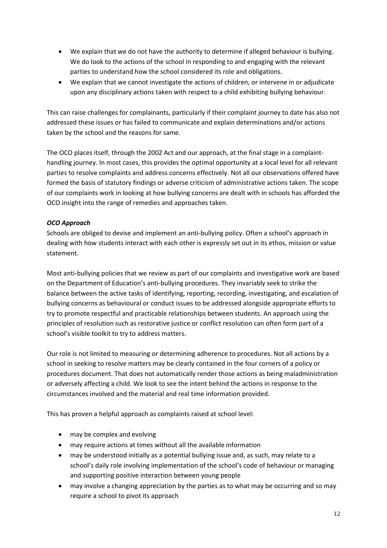- We explain that we do not have the authority to determine if alleged behaviour is bullying. We do look to the actions of the school in responding to and engaging with the relevant parties to understand how the school considered its role and obligations.
- We explain that we cannot investigate the actions of children, or intervene in or adjudicate upon any disciplinary actions taken with respect to a child exhibiting bullying behaviour.

This can raise challenges for complainants, particularly if their complaint journey to date has also not addressed these issues or has failed to communicate and explain determinations and/or actions taken by the school and the reasons for same.

The OCO places itself, through the 2002 Act and our approach, at the final stage in a complainthandling journey. In most cases, this provides the optimal opportunity at a local level for all relevant parties to resolve complaints and address concerns effectively. Not all our observations offered have formed the basis of statutory findings or adverse criticism of administrative actions taken. The scope of our complaints work in looking at how bullying concerns are dealt with in schools has afforded the OCO insight into the range of remedies and approaches taken.

## *OCO Approach*

Schools are obliged to devise and implement an anti-bullying policy. Often a school's approach in dealing with how students interact with each other is expressly set out in its ethos, mission or value statement.

Most anti-bullying policies that we review as part of our complaints and investigative work are based on the Department of Education's anti-bullying procedures. They invariably seek to strike the balance between the active tasks of identifying, reporting, recording, investigating, and escalation of bullying concerns as behavioural or conduct issues to be addressed alongside appropriate efforts to try to promote respectful and practicable relationships between students. An approach using the principles of resolution such as restorative justice or conflict resolution can often form part of a school's visible toolkit to try to address matters.

Our role is not limited to measuring or determining adherence to procedures. Not all actions by a school in seeking to resolve matters may be clearly contained in the four corners of a policy or procedures document. That does not automatically render those actions as being maladministration or adversely affecting a child. We look to see the intent behind the actions in response to the circumstances involved and the material and real time information provided.

This has proven a helpful approach as complaints raised at school level:

- may be complex and evolving
- may require actions at times without all the available information
- may be understood initially as a potential bullying issue and, as such, may relate to a school's daily role involving implementation of the school's code of behaviour or managing and supporting positive interaction between young people
- may involve a changing appreciation by the parties as to what may be occurring and so may require a school to pivot its approach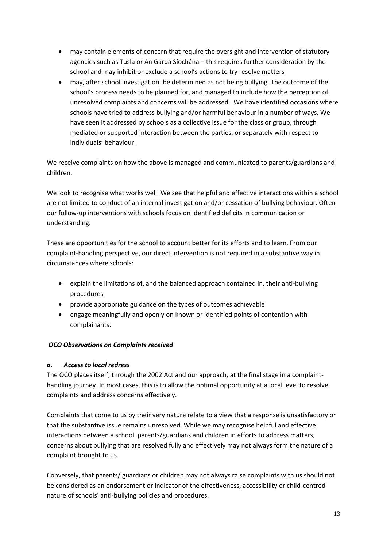- may contain elements of concern that require the oversight and intervention of statutory agencies such as Tusla or An Garda Síochána – this requires further consideration by the school and may inhibit or exclude a school's actions to try resolve matters
- may, after school investigation, be determined as not being bullying. The outcome of the school's process needs to be planned for, and managed to include how the perception of unresolved complaints and concerns will be addressed. We have identified occasions where schools have tried to address bullying and/or harmful behaviour in a number of ways. We have seen it addressed by schools as a collective issue for the class or group, through mediated or supported interaction between the parties, or separately with respect to individuals' behaviour.

We receive complaints on how the above is managed and communicated to parents/guardians and children.

We look to recognise what works well. We see that helpful and effective interactions within a school are not limited to conduct of an internal investigation and/or cessation of bullying behaviour. Often our follow-up interventions with schools focus on identified deficits in communication or understanding.

These are opportunities for the school to account better for its efforts and to learn. From our complaint-handling perspective, our direct intervention is not required in a substantive way in circumstances where schools:

- explain the limitations of, and the balanced approach contained in, their anti-bullying procedures
- provide appropriate guidance on the types of outcomes achievable
- engage meaningfully and openly on known or identified points of contention with complainants.

#### *OCO Observations on Complaints received*

#### *a. Access to local redress*

The OCO places itself, through the 2002 Act and our approach, at the final stage in a complainthandling journey. In most cases, this is to allow the optimal opportunity at a local level to resolve complaints and address concerns effectively.

Complaints that come to us by their very nature relate to a view that a response is unsatisfactory or that the substantive issue remains unresolved. While we may recognise helpful and effective interactions between a school, parents/guardians and children in efforts to address matters, concerns about bullying that are resolved fully and effectively may not always form the nature of a complaint brought to us.

Conversely, that parents/ guardians or children may not always raise complaints with us should not be considered as an endorsement or indicator of the effectiveness, accessibility or child-centred nature of schools' anti-bullying policies and procedures.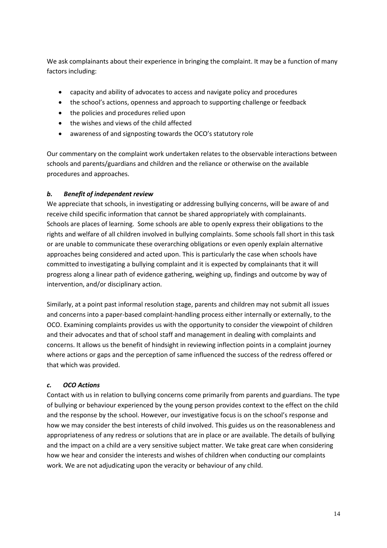We ask complainants about their experience in bringing the complaint. It may be a function of many factors including:

- capacity and ability of advocates to access and navigate policy and procedures
- the school's actions, openness and approach to supporting challenge or feedback
- the policies and procedures relied upon
- the wishes and views of the child affected
- awareness of and signposting towards the OCO's statutory role

Our commentary on the complaint work undertaken relates to the observable interactions between schools and parents/guardians and children and the reliance or otherwise on the available procedures and approaches.

#### *b. Benefit of independent review*

We appreciate that schools, in investigating or addressing bullying concerns, will be aware of and receive child specific information that cannot be shared appropriately with complainants. Schools are places of learning. Some schools are able to openly express their obligations to the rights and welfare of all children involved in bullying complaints. Some schools fall short in this task or are unable to communicate these overarching obligations or even openly explain alternative approaches being considered and acted upon. This is particularly the case when schools have committed to investigating a bullying complaint and it is expected by complainants that it will progress along a linear path of evidence gathering, weighing up, findings and outcome by way of intervention, and/or disciplinary action.

Similarly, at a point past informal resolution stage, parents and children may not submit all issues and concerns into a paper-based complaint-handling process either internally or externally, to the OCO. Examining complaints provides us with the opportunity to consider the viewpoint of children and their advocates and that of school staff and management in dealing with complaints and concerns. It allows us the benefit of hindsight in reviewing inflection points in a complaint journey where actions or gaps and the perception of same influenced the success of the redress offered or that which was provided.

#### *c. OCO Actions*

Contact with us in relation to bullying concerns come primarily from parents and guardians. The type of bullying or behaviour experienced by the young person provides context to the effect on the child and the response by the school. However, our investigative focus is on the school's response and how we may consider the best interests of child involved. This guides us on the reasonableness and appropriateness of any redress or solutions that are in place or are available. The details of bullying and the impact on a child are a very sensitive subject matter. We take great care when considering how we hear and consider the interests and wishes of children when conducting our complaints work. We are not adjudicating upon the veracity or behaviour of any child.